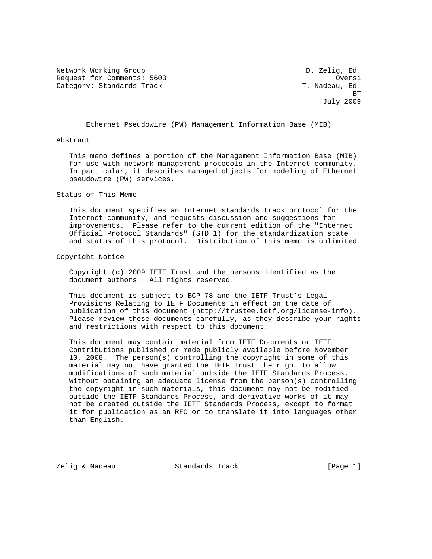Network Working Group and the control of the D. Zelig, Ed. Request for Comments: 5603 Oversi Category: Standards Track T. Nadeau, Ed. 3. T. Nadeau, Ed.

**BT** STATE STATE STATE STATE STATE STATE STATE STATE STATE STATE STATE STATE STATE STATE STATE STATE STATE STATE STATE STATE STATE STATE STATE STATE STATE STATE STATE STATE STATE STATE STATE STATE STATE STATE STATE STATE S July 2009

Ethernet Pseudowire (PW) Management Information Base (MIB)

## Abstract

 This memo defines a portion of the Management Information Base (MIB) for use with network management protocols in the Internet community. In particular, it describes managed objects for modeling of Ethernet pseudowire (PW) services.

## Status of This Memo

 This document specifies an Internet standards track protocol for the Internet community, and requests discussion and suggestions for improvements. Please refer to the current edition of the "Internet Official Protocol Standards" (STD 1) for the standardization state and status of this protocol. Distribution of this memo is unlimited.

### Copyright Notice

 Copyright (c) 2009 IETF Trust and the persons identified as the document authors. All rights reserved.

 This document is subject to BCP 78 and the IETF Trust's Legal Provisions Relating to IETF Documents in effect on the date of publication of this document (http://trustee.ietf.org/license-info). Please review these documents carefully, as they describe your rights and restrictions with respect to this document.

 This document may contain material from IETF Documents or IETF Contributions published or made publicly available before November 10, 2008. The person(s) controlling the copyright in some of this material may not have granted the IETF Trust the right to allow modifications of such material outside the IETF Standards Process. Without obtaining an adequate license from the person(s) controlling the copyright in such materials, this document may not be modified outside the IETF Standards Process, and derivative works of it may not be created outside the IETF Standards Process, except to format it for publication as an RFC or to translate it into languages other than English.

Zelig & Nadeau Standards Track [Page 1]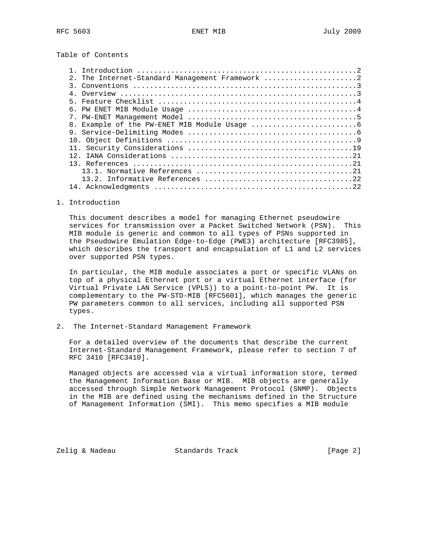Table of Contents

| 2. The Internet-Standard Management Framework 2 |
|-------------------------------------------------|
|                                                 |
|                                                 |
|                                                 |
|                                                 |
|                                                 |
|                                                 |
|                                                 |
|                                                 |
|                                                 |
|                                                 |
|                                                 |
|                                                 |
|                                                 |
|                                                 |
|                                                 |

1. Introduction

 This document describes a model for managing Ethernet pseudowire services for transmission over a Packet Switched Network (PSN). This MIB module is generic and common to all types of PSNs supported in the Pseudowire Emulation Edge-to-Edge (PWE3) architecture [RFC3985], which describes the transport and encapsulation of L1 and L2 services over supported PSN types.

 In particular, the MIB module associates a port or specific VLANs on top of a physical Ethernet port or a virtual Ethernet interface (for Virtual Private LAN Service (VPLS)) to a point-to-point PW. It is complementary to the PW-STD-MIB [RFC5601], which manages the generic PW parameters common to all services, including all supported PSN types.

2. The Internet-Standard Management Framework

 For a detailed overview of the documents that describe the current Internet-Standard Management Framework, please refer to section 7 of RFC 3410 [RFC3410].

 Managed objects are accessed via a virtual information store, termed the Management Information Base or MIB. MIB objects are generally accessed through Simple Network Management Protocol (SNMP). Objects in the MIB are defined using the mechanisms defined in the Structure of Management Information (SMI). This memo specifies a MIB module

Zelig & Nadeau **Standards Track** [Page 2]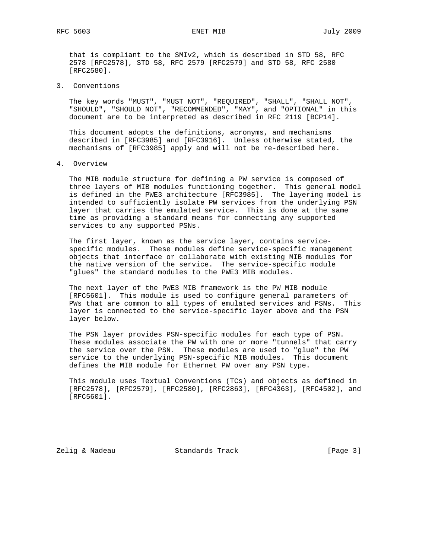that is compliant to the SMIv2, which is described in STD 58, RFC 2578 [RFC2578], STD 58, RFC 2579 [RFC2579] and STD 58, RFC 2580 [RFC2580].

3. Conventions

 The key words "MUST", "MUST NOT", "REQUIRED", "SHALL", "SHALL NOT", "SHOULD", "SHOULD NOT", "RECOMMENDED", "MAY", and "OPTIONAL" in this document are to be interpreted as described in RFC 2119 [BCP14].

 This document adopts the definitions, acronyms, and mechanisms described in [RFC3985] and [RFC3916]. Unless otherwise stated, the mechanisms of [RFC3985] apply and will not be re-described here.

4. Overview

 The MIB module structure for defining a PW service is composed of three layers of MIB modules functioning together. This general model is defined in the PWE3 architecture [RFC3985]. The layering model is intended to sufficiently isolate PW services from the underlying PSN layer that carries the emulated service. This is done at the same time as providing a standard means for connecting any supported services to any supported PSNs.

 The first layer, known as the service layer, contains service specific modules. These modules define service-specific management objects that interface or collaborate with existing MIB modules for the native version of the service. The service-specific module "glues" the standard modules to the PWE3 MIB modules.

 The next layer of the PWE3 MIB framework is the PW MIB module [RFC5601]. This module is used to configure general parameters of PWs that are common to all types of emulated services and PSNs. This layer is connected to the service-specific layer above and the PSN layer below.

 The PSN layer provides PSN-specific modules for each type of PSN. These modules associate the PW with one or more "tunnels" that carry the service over the PSN. These modules are used to "glue" the PW service to the underlying PSN-specific MIB modules. This document defines the MIB module for Ethernet PW over any PSN type.

 This module uses Textual Conventions (TCs) and objects as defined in [RFC2578], [RFC2579], [RFC2580], [RFC2863], [RFC4363], [RFC4502], and [RFC5601].

Zelig & Nadeau Standards Track [Page 3]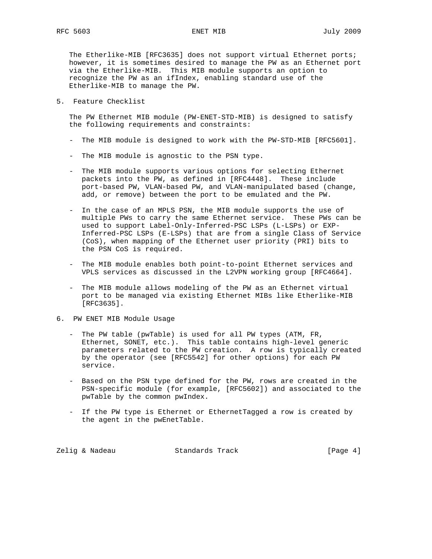The Etherlike-MIB [RFC3635] does not support virtual Ethernet ports; however, it is sometimes desired to manage the PW as an Ethernet port via the Etherlike-MIB. This MIB module supports an option to recognize the PW as an ifIndex, enabling standard use of the Etherlike-MIB to manage the PW.

5. Feature Checklist

 The PW Ethernet MIB module (PW-ENET-STD-MIB) is designed to satisfy the following requirements and constraints:

- The MIB module is designed to work with the PW-STD-MIB [RFC5601].
- The MIB module is agnostic to the PSN type.
- The MIB module supports various options for selecting Ethernet packets into the PW, as defined in [RFC4448]. These include port-based PW, VLAN-based PW, and VLAN-manipulated based (change, add, or remove) between the port to be emulated and the PW.
- In the case of an MPLS PSN, the MIB module supports the use of multiple PWs to carry the same Ethernet service. These PWs can be used to support Label-Only-Inferred-PSC LSPs (L-LSPs) or EXP- Inferred-PSC LSPs (E-LSPs) that are from a single Class of Service (CoS), when mapping of the Ethernet user priority (PRI) bits to the PSN CoS is required.
- The MIB module enables both point-to-point Ethernet services and VPLS services as discussed in the L2VPN working group [RFC4664].
- The MIB module allows modeling of the PW as an Ethernet virtual port to be managed via existing Ethernet MIBs like Etherlike-MIB [RFC3635].
- 6. PW ENET MIB Module Usage
	- The PW table (pwTable) is used for all PW types (ATM, FR, Ethernet, SONET, etc.). This table contains high-level generic parameters related to the PW creation. A row is typically created by the operator (see [RFC5542] for other options) for each PW service.
	- Based on the PSN type defined for the PW, rows are created in the PSN-specific module (for example, [RFC5602]) and associated to the pwTable by the common pwIndex.
	- If the PW type is Ethernet or EthernetTagged a row is created by the agent in the pwEnetTable.

| Zelig & Nadeau<br>Standards Track | [Page $4$ ] |  |
|-----------------------------------|-------------|--|
|-----------------------------------|-------------|--|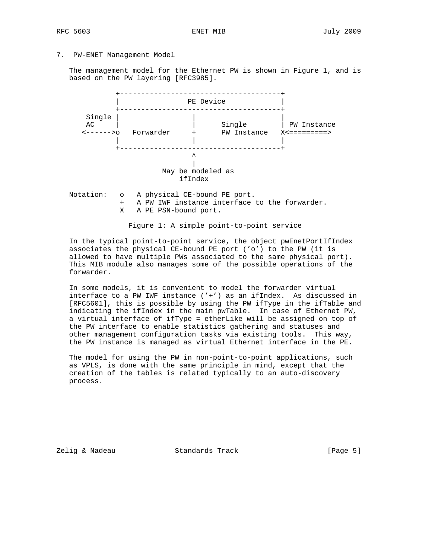7. PW-ENET Management Model

 The management model for the Ethernet PW is shown in Figure 1, and is based on the PW layering [RFC3985].



 Notation: o A physical CE-bound PE port. + A PW IWF instance interface to the forwarder. X A PE PSN-bound port.

Figure 1: A simple point-to-point service

 In the typical point-to-point service, the object pwEnetPortIfIndex associates the physical CE-bound PE port ('o') to the PW (it is allowed to have multiple PWs associated to the same physical port). This MIB module also manages some of the possible operations of the forwarder.

 In some models, it is convenient to model the forwarder virtual interface to a PW IWF instance ('+') as an ifIndex. As discussed in [RFC5601], this is possible by using the PW ifType in the ifTable and indicating the ifIndex in the main pwTable. In case of Ethernet PW, a virtual interface of ifType = etherLike will be assigned on top of the PW interface to enable statistics gathering and statuses and other management configuration tasks via existing tools. This way, the PW instance is managed as virtual Ethernet interface in the PE.

 The model for using the PW in non-point-to-point applications, such as VPLS, is done with the same principle in mind, except that the creation of the tables is related typically to an auto-discovery process.

Zelig & Nadeau Standards Track [Page 5]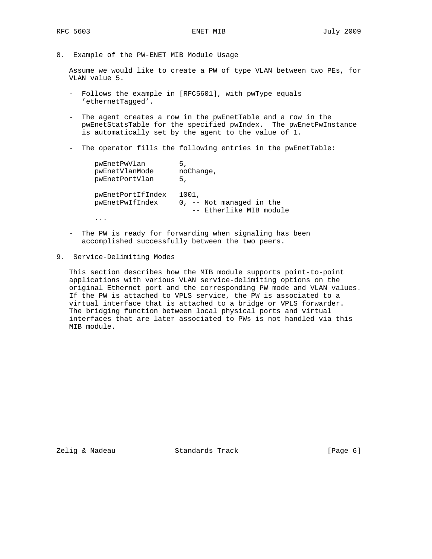8. Example of the PW-ENET MIB Module Usage

 Assume we would like to create a PW of type VLAN between two PEs, for VLAN value 5.

- Follows the example in [RFC5601], with pwType equals 'ethernetTagged'.
- The agent creates a row in the pwEnetTable and a row in the pwEnetStatsTable for the specified pwIndex. The pwEnetPwInstance is automatically set by the agent to the value of 1.
- The operator fills the following entries in the pwEnetTable:

| pwEnetPwVlan<br>pwEnetVlanMode<br>pwEnetPortVlan | 5.<br>noChange,<br>5.                                         |
|--------------------------------------------------|---------------------------------------------------------------|
| pwEnetPortIfIndex<br>pwEnetPwIfIndex             | 1001,<br>$0, -$ Not managed in the<br>-- Etherlike MIB module |
|                                                  |                                                               |

- The PW is ready for forwarding when signaling has been accomplished successfully between the two peers.
- 9. Service-Delimiting Modes

 This section describes how the MIB module supports point-to-point applications with various VLAN service-delimiting options on the original Ethernet port and the corresponding PW mode and VLAN values. If the PW is attached to VPLS service, the PW is associated to a virtual interface that is attached to a bridge or VPLS forwarder. The bridging function between local physical ports and virtual interfaces that are later associated to PWs is not handled via this MIB module.

Zelig & Nadeau **Standards Track** [Page 6]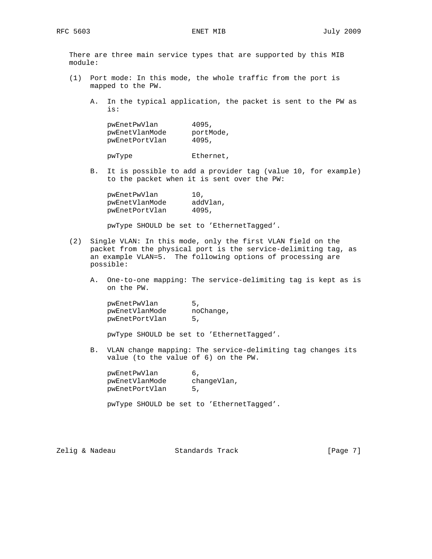There are three main service types that are supported by this MIB module:

- (1) Port mode: In this mode, the whole traffic from the port is mapped to the PW.
	- A. In the typical application, the packet is sent to the PW as is:

| 4095,     |
|-----------|
| portMode, |
| 4095,     |
|           |

pwType Ethernet,

 B. It is possible to add a provider tag (value 10, for example) to the packet when it is sent over the PW:

| pwEnetPwVlan   | 10.      |
|----------------|----------|
| pwEnetVlanMode | addVlan, |
| pwEnetPortVlan | 4095,    |

pwType SHOULD be set to 'EthernetTagged'.

- (2) Single VLAN: In this mode, only the first VLAN field on the packet from the physical port is the service-delimiting tag, as an example VLAN=5. The following options of processing are possible:
	- A. One-to-one mapping: The service-delimiting tag is kept as is on the PW.

| pwEnetPwVlan   | 5         |
|----------------|-----------|
| pwEnetVlanMode | noChange, |
| pwEnetPortVlan | 5.        |

pwType SHOULD be set to 'EthernetTagged'.

 B. VLAN change mapping: The service-delimiting tag changes its value (to the value of 6) on the PW.

| pwEnetPwVlan   |             |
|----------------|-------------|
| pwEnetVlanMode | changeVlan, |
| pwEnetPortVlan | 5.          |

pwType SHOULD be set to 'EthernetTagged'.

Zelig & Nadeau **Standards Track** [Page 7]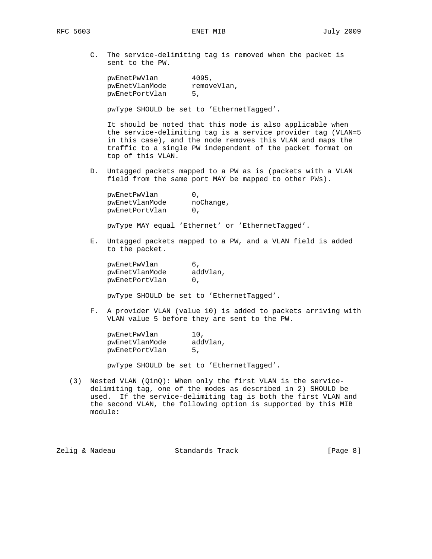C. The service-delimiting tag is removed when the packet is sent to the PW.

| pwEnetPwVlan   | 4095,       |
|----------------|-------------|
| pwEnetVlanMode | removeVlan, |
| pwEnetPortVlan | 5.          |

pwType SHOULD be set to 'EthernetTagged'.

 It should be noted that this mode is also applicable when the service-delimiting tag is a service provider tag (VLAN=5 in this case), and the node removes this VLAN and maps the traffic to a single PW independent of the packet format on top of this VLAN.

 D. Untagged packets mapped to a PW as is (packets with a VLAN field from the same port MAY be mapped to other PWs).

| pwEnetPwVlan   |           |
|----------------|-----------|
| pwEnetVlanMode | noChange, |
| pwEnetPortVlan |           |
|                |           |

pwType MAY equal 'Ethernet' or 'EthernetTagged'.

 E. Untagged packets mapped to a PW, and a VLAN field is added to the packet.

| pwEnetPwVlan   |          |
|----------------|----------|
| pwEnetVlanMode | addVlan, |
| pwEnetPortVlan |          |

pwType SHOULD be set to 'EthernetTagged'.

 F. A provider VLAN (value 10) is added to packets arriving with VLAN value 5 before they are sent to the PW.

| pwEnetPwVlan   | 10.      |
|----------------|----------|
| pwEnetVlanMode | addVlan, |
| pwEnetPortVlan | 5.       |

pwType SHOULD be set to 'EthernetTagged'.

 (3) Nested VLAN (QinQ): When only the first VLAN is the service delimiting tag, one of the modes as described in 2) SHOULD be used. If the service-delimiting tag is both the first VLAN and the second VLAN, the following option is supported by this MIB module:

| Zelig & Nadeau<br>Standards Track | [Page 8] |
|-----------------------------------|----------|
|-----------------------------------|----------|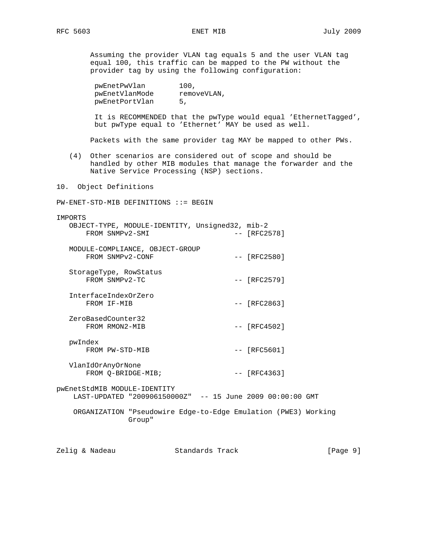Assuming the provider VLAN tag equals 5 and the user VLAN tag equal 100, this traffic can be mapped to the PW without the provider tag by using the following configuration:

| pwEnetPwVlan   | 100,        |
|----------------|-------------|
| pwEnetVlanMode | removeVLAN, |
| pwEnetPortVlan | 5.          |

 It is RECOMMENDED that the pwType would equal 'EthernetTagged', but pwType equal to 'Ethernet' MAY be used as well.

Packets with the same provider tag MAY be mapped to other PWs.

 (4) Other scenarios are considered out of scope and should be handled by other MIB modules that manage the forwarder and the Native Service Processing (NSP) sections.

10. Object Definitions

PW-ENET-STD-MIB DEFINITIONS ::= BEGIN

### IMPORTS

| FROM SNMPv2-SMI                          | OBJECT-TYPE, MODULE-IDENTITY, Unsigned32, mib-2                          | $-- [RFC2578]$ |  |
|------------------------------------------|--------------------------------------------------------------------------|----------------|--|
| FROM SNMPv2-CONF                         | MODULE-COMPLIANCE, OBJECT-GROUP                                          | $--$ [RFC2580] |  |
| StorageType, RowStatus<br>FROM SNMPv2-TC |                                                                          | $-- [RFC2579]$ |  |
| InterfaceIndexOrZero<br>FROM IF-MIB      |                                                                          | $-- [RFC2863]$ |  |
| ZeroBasedCounter32<br>FROM RMON2-MIB     |                                                                          | $-- [RFC4502]$ |  |
| pwIndex<br>FROM PW-STD-MIB               |                                                                          | $-- [RFC5601]$ |  |
| VlanIdOrAnyOrNone<br>FROM O-BRIDGE-MIB;  |                                                                          | $--$ [RFC4363] |  |
| pwEnetStdMIB MODULE-IDENTITY             | LAST-UPDATED "200906150000Z" -- 15 June 2009 00:00:00 GMT                |                |  |
|                                          | ORGANIZATION "Pseudowire Edge-to-Edge Emulation (PWE3) Working<br>Group" |                |  |
|                                          |                                                                          |                |  |

Zelig & Nadeau **Standards Track** [Page 9]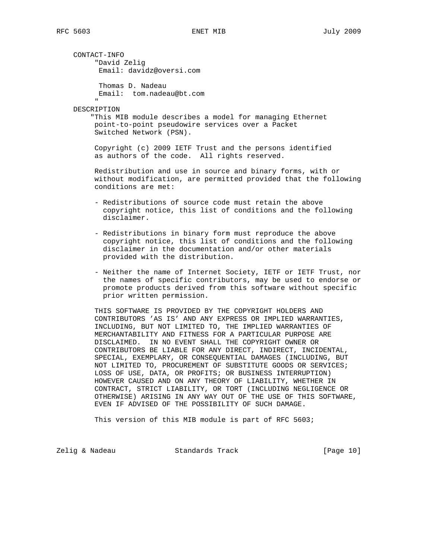CONTACT-INFO "David Zelig Email: davidz@oversi.com

> Thomas D. Nadeau Email: tom.nadeau@bt.com

 " DESCRIPTION

> "This MIB module describes a model for managing Ethernet point-to-point pseudowire services over a Packet Switched Network (PSN).

 Copyright (c) 2009 IETF Trust and the persons identified as authors of the code. All rights reserved.

 Redistribution and use in source and binary forms, with or without modification, are permitted provided that the following conditions are met:

- Redistributions of source code must retain the above copyright notice, this list of conditions and the following disclaimer.
- Redistributions in binary form must reproduce the above copyright notice, this list of conditions and the following disclaimer in the documentation and/or other materials provided with the distribution.
- Neither the name of Internet Society, IETF or IETF Trust, nor the names of specific contributors, may be used to endorse or promote products derived from this software without specific prior written permission.

 THIS SOFTWARE IS PROVIDED BY THE COPYRIGHT HOLDERS AND CONTRIBUTORS 'AS IS' AND ANY EXPRESS OR IMPLIED WARRANTIES, INCLUDING, BUT NOT LIMITED TO, THE IMPLIED WARRANTIES OF MERCHANTABILITY AND FITNESS FOR A PARTICULAR PURPOSE ARE DISCLAIMED. IN NO EVENT SHALL THE COPYRIGHT OWNER OR CONTRIBUTORS BE LIABLE FOR ANY DIRECT, INDIRECT, INCIDENTAL, SPECIAL, EXEMPLARY, OR CONSEQUENTIAL DAMAGES (INCLUDING, BUT NOT LIMITED TO, PROCUREMENT OF SUBSTITUTE GOODS OR SERVICES; LOSS OF USE, DATA, OR PROFITS; OR BUSINESS INTERRUPTION) HOWEVER CAUSED AND ON ANY THEORY OF LIABILITY, WHETHER IN CONTRACT, STRICT LIABILITY, OR TORT (INCLUDING NEGLIGENCE OR OTHERWISE) ARISING IN ANY WAY OUT OF THE USE OF THIS SOFTWARE, EVEN IF ADVISED OF THE POSSIBILITY OF SUCH DAMAGE.

This version of this MIB module is part of RFC 5603;

Zelig & Nadeau Standards Track [Page 10]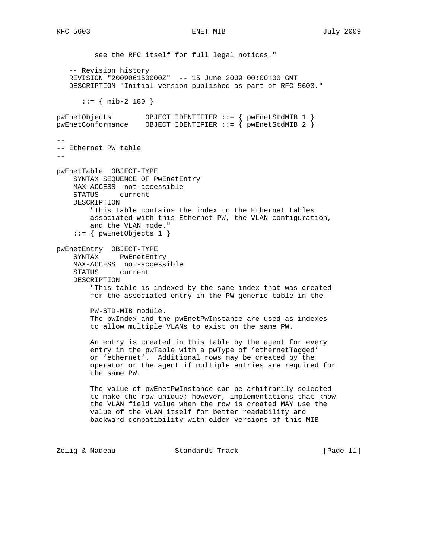see the RFC itself for full legal notices." -- Revision history REVISION "200906150000Z" -- 15 June 2009 00:00:00 GMT DESCRIPTION "Initial version published as part of RFC 5603."  $::=$  { mib-2 180 } pwEnetObjects OBJECT IDENTIFIER ::= { pwEnetStdMIB 1 } pwEnetConformance OBJECT IDENTIFIER ::= { pwEnetStdMIB 2 } -- -- Ethernet PW table - pwEnetTable OBJECT-TYPE SYNTAX SEQUENCE OF PwEnetEntry MAX-ACCESS not-accessible STATUS current DESCRIPTION "This table contains the index to the Ethernet tables associated with this Ethernet PW, the VLAN configuration, and the VLAN mode." ::= { pwEnetObjects 1 } pwEnetEntry OBJECT-TYPE SYNTAX PwEnetEntry MAX-ACCESS not-accessible STATUS current DESCRIPTION "This table is indexed by the same index that was created for the associated entry in the PW generic table in the PW-STD-MIB module. The pwIndex and the pwEnetPwInstance are used as indexes to allow multiple VLANs to exist on the same PW. An entry is created in this table by the agent for every entry in the pwTable with a pwType of 'ethernetTagged' or 'ethernet'. Additional rows may be created by the operator or the agent if multiple entries are required for the same PW. The value of pwEnetPwInstance can be arbitrarily selected to make the row unique; however, implementations that know the VLAN field value when the row is created MAY use the value of the VLAN itself for better readability and backward compatibility with older versions of this MIB

Zelig & Nadeau Standards Track [Page 11]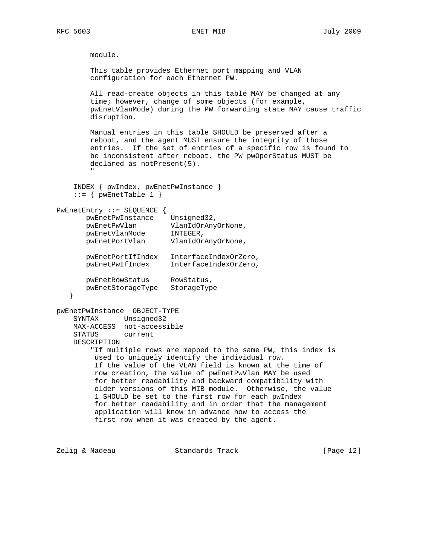RFC 5603 ENET MIB July 2009

 module. This table provides Ethernet port mapping and VLAN configuration for each Ethernet PW. All read-create objects in this table MAY be changed at any time; however, change of some objects (for example, pwEnetVlanMode) during the PW forwarding state MAY cause traffic disruption. Manual entries in this table SHOULD be preserved after a reboot, and the agent MUST ensure the integrity of those entries. If the set of entries of a specific row is found to be inconsistent after reboot, the PW pwOperStatus MUST be declared as notPresent(5). " INDEX { pwIndex, pwEnetPwInstance }  $::=$  { pwEnetTable 1 } PwEnetEntry ::= SEQUENCE { pwEnetPwInstance Unsigned32, pwEnetPwVlan VlanIdOrAnyOrNone, pwEnetVlanMode INTEGER, pwEnetPortVlan VlanIdOrAnyOrNone, pwEnetPortIfIndex InterfaceIndexOrZero, pwEnetPwIfIndex InterfaceIndexOrZero, pwEnetRowStatus RowStatus, pwEnetStorageType StorageType } pwEnetPwInstance OBJECT-TYPE SYNTAX Unsigned32 MAX-ACCESS not-accessible STATUS current DESCRIPTION "If multiple rows are mapped to the same PW, this index is used to uniquely identify the individual row. If the value of the VLAN field is known at the time of row creation, the value of pwEnetPwVlan MAY be used for better readability and backward compatibility with older versions of this MIB module. Otherwise, the value 1 SHOULD be set to the first row for each pwIndex for better readability and in order that the management application will know in advance how to access the first row when it was created by the agent. Zelig & Nadeau **Standards Track** [Page 12]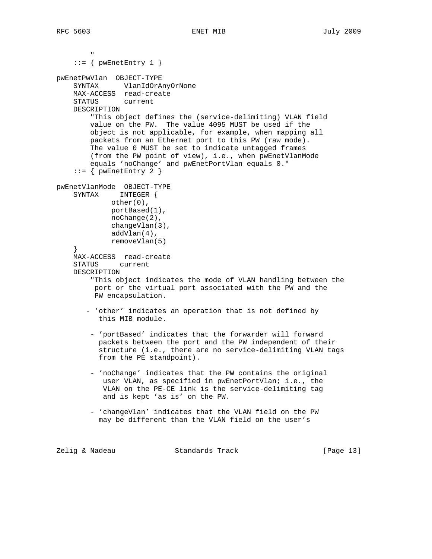```
 "
    ::= { pwEnetEntry 1 }
pwEnetPwVlan OBJECT-TYPE
     SYNTAX VlanIdOrAnyOrNone
     MAX-ACCESS read-create
     STATUS current
     DESCRIPTION
         "This object defines the (service-delimiting) VLAN field
        value on the PW. The value 4095 MUST be used if the
         object is not applicable, for example, when mapping all
        packets from an Ethernet port to this PW (raw mode).
         The value 0 MUST be set to indicate untagged frames
         (from the PW point of view), i.e., when pwEnetVlanMode
         equals 'noChange' and pwEnetPortVlan equals 0."
    ::= { pwEnetEntry 2 }
pwEnetVlanMode OBJECT-TYPE
     SYNTAX INTEGER {
            other(0),
             portBased(1),
             noChange(2),
             changeVlan(3),
             addVlan(4),
             removeVlan(5)
 }
     MAX-ACCESS read-create
     STATUS current
     DESCRIPTION
         "This object indicates the mode of VLAN handling between the
          port or the virtual port associated with the PW and the
         PW encapsulation.
        - 'other' indicates an operation that is not defined by
          this MIB module.
         - 'portBased' indicates that the forwarder will forward
           packets between the port and the PW independent of their
           structure (i.e., there are no service-delimiting VLAN tags
           from the PE standpoint).
         - 'noChange' indicates that the PW contains the original
            user VLAN, as specified in pwEnetPortVlan; i.e., the
            VLAN on the PE-CE link is the service-delimiting tag
            and is kept 'as is' on the PW.
         - 'changeVlan' indicates that the VLAN field on the PW
           may be different than the VLAN field on the user's
```
Zelig & Nadeau Standards Track [Page 13]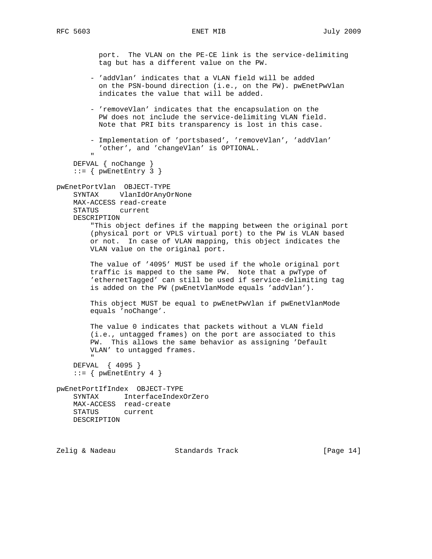port. The VLAN on the PE-CE link is the service-delimiting tag but has a different value on the PW.

- 'addVlan' indicates that a VLAN field will be added on the PSN-bound direction (i.e., on the PW). pwEnetPwVlan indicates the value that will be added.
- 'removeVlan' indicates that the encapsulation on the PW does not include the service-delimiting VLAN field. Note that PRI bits transparency is lost in this case.
- Implementation of 'portsbased', 'removeVlan', 'addVlan' 'other', and 'changeVlan' is OPTIONAL.

```
 "
    DEFVAL { noChange }
   ::= { pwEnetEntry 3 }
```

```
pwEnetPortVlan OBJECT-TYPE
    SYNTAX VlanIdOrAnyOrNone
    MAX-ACCESS read-create
    STATUS current
    DESCRIPTION
```
 "This object defines if the mapping between the original port (physical port or VPLS virtual port) to the PW is VLAN based or not. In case of VLAN mapping, this object indicates the VLAN value on the original port.

 The value of '4095' MUST be used if the whole original port traffic is mapped to the same PW. Note that a pwType of 'ethernetTagged' can still be used if service-delimiting tag is added on the PW (pwEnetVlanMode equals 'addVlan').

 This object MUST be equal to pwEnetPwVlan if pwEnetVlanMode equals 'noChange'.

 The value 0 indicates that packets without a VLAN field (i.e., untagged frames) on the port are associated to this PW. This allows the same behavior as assigning 'Default VLAN' to untagged frames.

 " DEFVAL { 4095 }  $::=$  { pwEnetEntry 4 }

pwEnetPortIfIndex OBJECT-TYPE SYNTAX InterfaceIndexOrZero MAX-ACCESS read-create STATUS current DESCRIPTION

Zelig & Nadeau Standards Track [Page 14]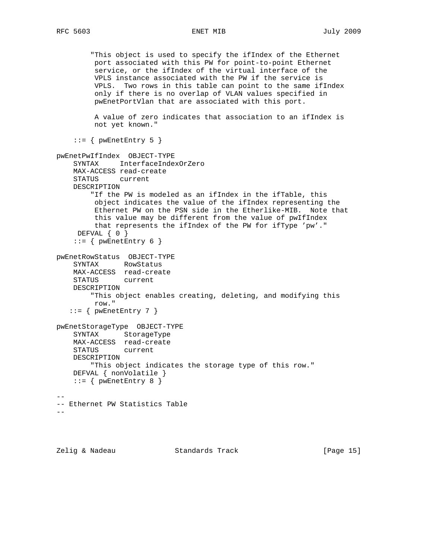"This object is used to specify the ifIndex of the Ethernet port associated with this PW for point-to-point Ethernet service, or the ifIndex of the virtual interface of the VPLS instance associated with the PW if the service is VPLS. Two rows in this table can point to the same ifIndex only if there is no overlap of VLAN values specified in pwEnetPortVlan that are associated with this port. A value of zero indicates that association to an ifIndex is not yet known."  $::=$  { pwEnetEntry 5 } pwEnetPwIfIndex OBJECT-TYPE SYNTAX InterfaceIndexOrZero MAX-ACCESS read-create STATUS current DESCRIPTION "If the PW is modeled as an ifIndex in the ifTable, this object indicates the value of the ifIndex representing the Ethernet PW on the PSN side in the Etherlike-MIB. Note that this value may be different from the value of pwIfIndex that represents the ifIndex of the PW for ifType 'pw'." DEFVAL { 0 } ::= { pwEnetEntry 6 } pwEnetRowStatus OBJECT-TYPE SYNTAX RowStatus MAX-ACCESS read-create STATUS current DESCRIPTION "This object enables creating, deleting, and modifying this row."  $::=$  {  $pwEnetEntry 7$  } pwEnetStorageType OBJECT-TYPE SYNTAX StorageType MAX-ACCESS read-create STATUS current DESCRIPTION "This object indicates the storage type of this row." DEFVAL { nonVolatile }  $::=$  {  $pwEnetEntry 8$  } -- -- Ethernet PW Statistics Table --

Zelig & Nadeau Standards Track [Page 15]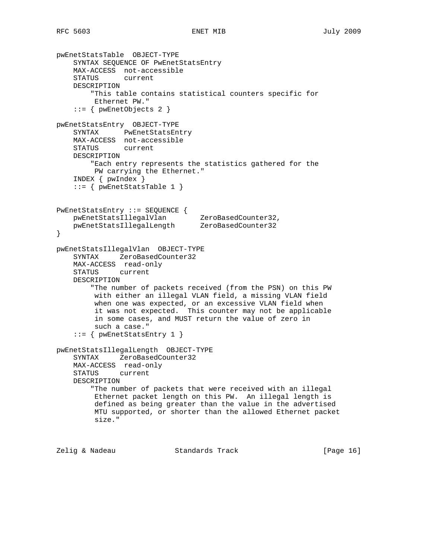```
pwEnetStatsTable OBJECT-TYPE
     SYNTAX SEQUENCE OF PwEnetStatsEntry
    MAX-ACCESS not-accessible
    STATUS current
    DESCRIPTION
         "This table contains statistical counters specific for
         Ethernet PW."
     ::= { pwEnetObjects 2 }
pwEnetStatsEntry OBJECT-TYPE
    SYNTAX PwEnetStatsEntry
    MAX-ACCESS not-accessible
    STATUS current
    DESCRIPTION
         "Each entry represents the statistics gathered for the
         PW carrying the Ethernet."
     INDEX { pwIndex }
     ::= { pwEnetStatsTable 1 }
PwEnetStatsEntry ::= SEQUENCE {
 pwEnetStatsIllegalVlan ZeroBasedCounter32,
 pwEnetStatsIllegalLength ZeroBasedCounter32
}
pwEnetStatsIllegalVlan OBJECT-TYPE
    SYNTAX ZeroBasedCounter32
    MAX-ACCESS read-only
    STATUS current
    DESCRIPTION
         "The number of packets received (from the PSN) on this PW
         with either an illegal VLAN field, a missing VLAN field
         when one was expected, or an excessive VLAN field when
         it was not expected. This counter may not be applicable
         in some cases, and MUST return the value of zero in
         such a case."
     ::= { pwEnetStatsEntry 1 }
pwEnetStatsIllegalLength OBJECT-TYPE
    SYNTAX ZeroBasedCounter32
    MAX-ACCESS read-only
    STATUS current
    DESCRIPTION
         "The number of packets that were received with an illegal
         Ethernet packet length on this PW. An illegal length is
         defined as being greater than the value in the advertised
         MTU supported, or shorter than the allowed Ethernet packet
         size."
```
Zelig & Nadeau **Standards Track** [Page 16]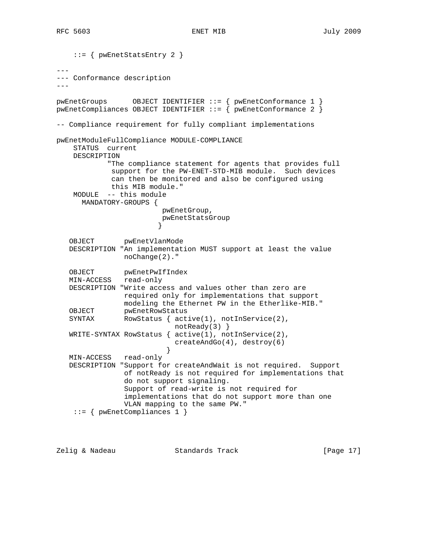```
 ::= { pwEnetStatsEntry 2 }
---
--- Conformance description
---
pwEnetGroups OBJECT IDENTIFIER ::= { pwEnetConformance 1 }
pwEnetCompliances OBJECT IDENTIFIER ::= { pwEnetConformance 2 }
-- Compliance requirement for fully compliant implementations
pwEnetModuleFullCompliance MODULE-COMPLIANCE
     STATUS current
    DESCRIPTION
            "The compliance statement for agents that provides full
             support for the PW-ENET-STD-MIB module. Such devices
             can then be monitored and also be configured using
             this MIB module."
    MODULE -- this module
      MANDATORY-GROUPS {
                         pwEnetGroup,
                       pwEnetStatsGroup<br>}
 }
    OBJECT pwEnetVlanMode
    DESCRIPTION "An implementation MUST support at least the value
                noChange(2)."
 OBJECT pwEnetPwIfIndex
 MIN-ACCESS read-only
   DESCRIPTION "Write access and values other than zero are
                required only for implementations that support
                modeling the Ethernet PW in the Etherlike-MIB."
    OBJECT pwEnetRowStatus
  SYNTAX RowStatus { active(1), notInService(2),
                            notReady(3) }
   WRITE-SYNTAX RowStatus { active(1), notInService(2),
                         createAndGo(4), destroy(6)<br>}
 }
   MIN-ACCESS read-only
   DESCRIPTION "Support for createAndWait is not required. Support
                of notReady is not required for implementations that
                do not support signaling.
                Support of read-write is not required for
                implementations that do not support more than one
                VLAN mapping to the same PW."
     ::= { pwEnetCompliances 1 }
```
Zelig & Nadeau Standards Track [Page 17]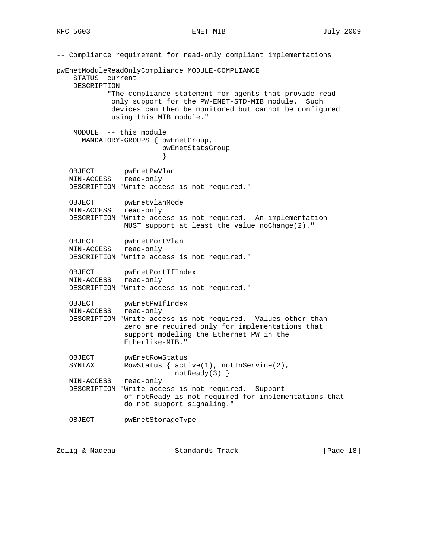-- Compliance requirement for read-only compliant implementations pwEnetModuleReadOnlyCompliance MODULE-COMPLIANCE STATUS current DESCRIPTION "The compliance statement for agents that provide read only support for the PW-ENET-STD-MIB module. Such devices can then be monitored but cannot be configured using this MIB module." MODULE -- this module MANDATORY-GROUPS { pwEnetGroup, pwEnetStatsGroup } OBJECT pwEnetPwVlan MIN-ACCESS read-only DESCRIPTION "Write access is not required." OBJECT pwEnetVlanMode MIN-ACCESS read-only DESCRIPTION "Write access is not required. An implementation MUST support at least the value noChange(2)." OBJECT pwEnetPortVlan MIN-ACCESS read-only DESCRIPTION "Write access is not required." OBJECT pwEnetPortIfIndex MIN-ACCESS read-only DESCRIPTION "Write access is not required." OBJECT pwEnetPwIfIndex MIN-ACCESS read-only DESCRIPTION "Write access is not required. Values other than zero are required only for implementations that support modeling the Ethernet PW in the Etherlike-MIB." OBJECT pwEnetRowStatus SYNTAX RowStatus {  $active(1)$ ,  $notInService(2)$ , notReady(3) } MIN-ACCESS read-only DESCRIPTION "Write access is not required. Support of notReady is not required for implementations that do not support signaling." OBJECT pwEnetStorageType

Zelig & Nadeau Standards Track [Page 18]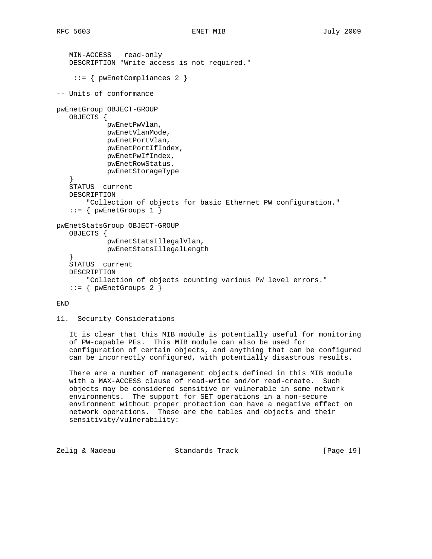```
 MIN-ACCESS read-only
    DESCRIPTION "Write access is not required."
     ::= { pwEnetCompliances 2 }
-- Units of conformance
pwEnetGroup OBJECT-GROUP
    OBJECTS {
            pwEnetPwVlan,
             pwEnetVlanMode,
             pwEnetPortVlan,
             pwEnetPortIfIndex,
             pwEnetPwIfIndex,
             pwEnetRowStatus,
             pwEnetStorageType
 }
    STATUS current
    DESCRIPTION
       "Collection of objects for basic Ethernet PW configuration."
   ::= { pwEnetGroups 1 }
pwEnetStatsGroup OBJECT-GROUP
    OBJECTS {
             pwEnetStatsIllegalVlan,
            pwEnetStatsIllegalLength
 }
    STATUS current
    DESCRIPTION
        "Collection of objects counting various PW level errors."
   ::= { pwEnetGroups 2 }
```
## END

```
11. Security Considerations
```
 It is clear that this MIB module is potentially useful for monitoring of PW-capable PEs. This MIB module can also be used for configuration of certain objects, and anything that can be configured can be incorrectly configured, with potentially disastrous results.

 There are a number of management objects defined in this MIB module with a MAX-ACCESS clause of read-write and/or read-create. Such objects may be considered sensitive or vulnerable in some network environments. The support for SET operations in a non-secure environment without proper protection can have a negative effect on network operations. These are the tables and objects and their sensitivity/vulnerability:

Zelig & Nadeau Standards Track [Page 19]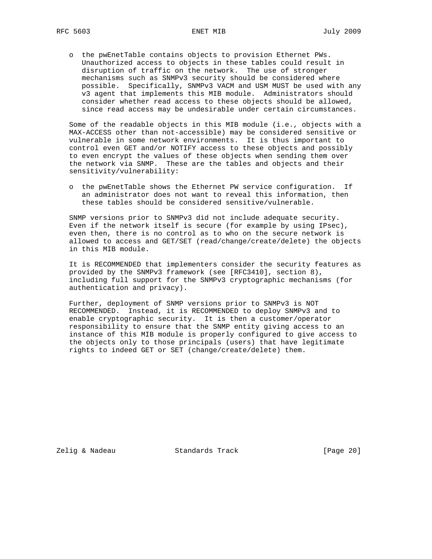o the pwEnetTable contains objects to provision Ethernet PWs. Unauthorized access to objects in these tables could result in disruption of traffic on the network. The use of stronger mechanisms such as SNMPv3 security should be considered where possible. Specifically, SNMPv3 VACM and USM MUST be used with any v3 agent that implements this MIB module. Administrators should consider whether read access to these objects should be allowed, since read access may be undesirable under certain circumstances.

 Some of the readable objects in this MIB module (i.e., objects with a MAX-ACCESS other than not-accessible) may be considered sensitive or vulnerable in some network environments. It is thus important to control even GET and/or NOTIFY access to these objects and possibly to even encrypt the values of these objects when sending them over the network via SNMP. These are the tables and objects and their sensitivity/vulnerability:

 o the pwEnetTable shows the Ethernet PW service configuration. If an administrator does not want to reveal this information, then these tables should be considered sensitive/vulnerable.

 SNMP versions prior to SNMPv3 did not include adequate security. Even if the network itself is secure (for example by using IPsec), even then, there is no control as to who on the secure network is allowed to access and GET/SET (read/change/create/delete) the objects in this MIB module.

 It is RECOMMENDED that implementers consider the security features as provided by the SNMPv3 framework (see [RFC3410], section 8), including full support for the SNMPv3 cryptographic mechanisms (for authentication and privacy).

 Further, deployment of SNMP versions prior to SNMPv3 is NOT RECOMMENDED. Instead, it is RECOMMENDED to deploy SNMPv3 and to enable cryptographic security. It is then a customer/operator responsibility to ensure that the SNMP entity giving access to an instance of this MIB module is properly configured to give access to the objects only to those principals (users) that have legitimate rights to indeed GET or SET (change/create/delete) them.

Zelig & Nadeau **Standards Track** [Page 20]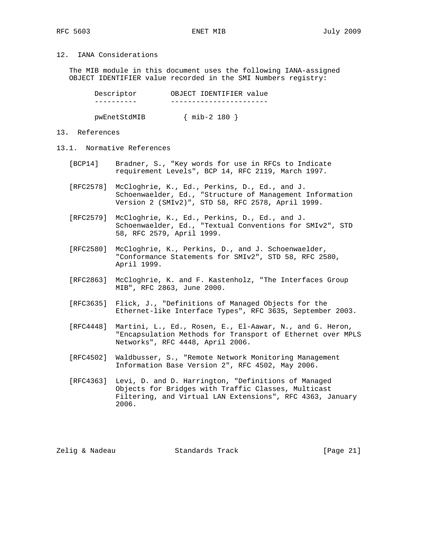# 12. IANA Considerations

 The MIB module in this document uses the following IANA-assigned OBJECT IDENTIFIER value recorded in the SMI Numbers registry:

| Descriptor   | OBJECT IDENTIFIER value |
|--------------|-------------------------|
|              |                         |
| pwEnetStdMIB | $\{$ mib-2 180 $\}$     |

13. References

- 13.1. Normative References
	- [BCP14] Bradner, S., "Key words for use in RFCs to Indicate requirement Levels", BCP 14, RFC 2119, March 1997.
	- [RFC2578] McCloghrie, K., Ed., Perkins, D., Ed., and J. Schoenwaelder, Ed., "Structure of Management Information Version 2 (SMIv2)", STD 58, RFC 2578, April 1999.
	- [RFC2579] McCloghrie, K., Ed., Perkins, D., Ed., and J. Schoenwaelder, Ed., "Textual Conventions for SMIv2", STD 58, RFC 2579, April 1999.
	- [RFC2580] McCloghrie, K., Perkins, D., and J. Schoenwaelder, "Conformance Statements for SMIv2", STD 58, RFC 2580, April 1999.
	- [RFC2863] McCloghrie, K. and F. Kastenholz, "The Interfaces Group MIB", RFC 2863, June 2000.
	- [RFC3635] Flick, J., "Definitions of Managed Objects for the Ethernet-like Interface Types", RFC 3635, September 2003.
	- [RFC4448] Martini, L., Ed., Rosen, E., El-Aawar, N., and G. Heron, "Encapsulation Methods for Transport of Ethernet over MPLS Networks", RFC 4448, April 2006.
	- [RFC4502] Waldbusser, S., "Remote Network Monitoring Management Information Base Version 2", RFC 4502, May 2006.
	- [RFC4363] Levi, D. and D. Harrington, "Definitions of Managed Objects for Bridges with Traffic Classes, Multicast Filtering, and Virtual LAN Extensions", RFC 4363, January 2006.

Zelig & Nadeau Standards Track [Page 21]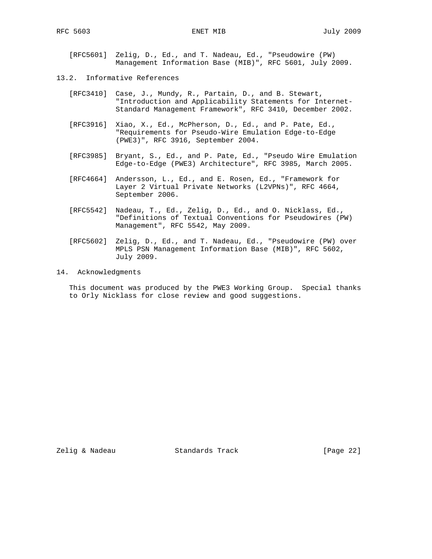[RFC5601] Zelig, D., Ed., and T. Nadeau, Ed., "Pseudowire (PW) Management Information Base (MIB)", RFC 5601, July 2009.

- 13.2. Informative References
	- [RFC3410] Case, J., Mundy, R., Partain, D., and B. Stewart, "Introduction and Applicability Statements for Internet- Standard Management Framework", RFC 3410, December 2002.
	- [RFC3916] Xiao, X., Ed., McPherson, D., Ed., and P. Pate, Ed., "Requirements for Pseudo-Wire Emulation Edge-to-Edge (PWE3)", RFC 3916, September 2004.
	- [RFC3985] Bryant, S., Ed., and P. Pate, Ed., "Pseudo Wire Emulation Edge-to-Edge (PWE3) Architecture", RFC 3985, March 2005.
	- [RFC4664] Andersson, L., Ed., and E. Rosen, Ed., "Framework for Layer 2 Virtual Private Networks (L2VPNs)", RFC 4664, September 2006.
	- [RFC5542] Nadeau, T., Ed., Zelig, D., Ed., and O. Nicklass, Ed., "Definitions of Textual Conventions for Pseudowires (PW) Management", RFC 5542, May 2009.
	- [RFC5602] Zelig, D., Ed., and T. Nadeau, Ed., "Pseudowire (PW) over MPLS PSN Management Information Base (MIB)", RFC 5602, July 2009.
- 14. Acknowledgments

 This document was produced by the PWE3 Working Group. Special thanks to Orly Nicklass for close review and good suggestions.

Zelig & Nadeau Standards Track [Page 22]